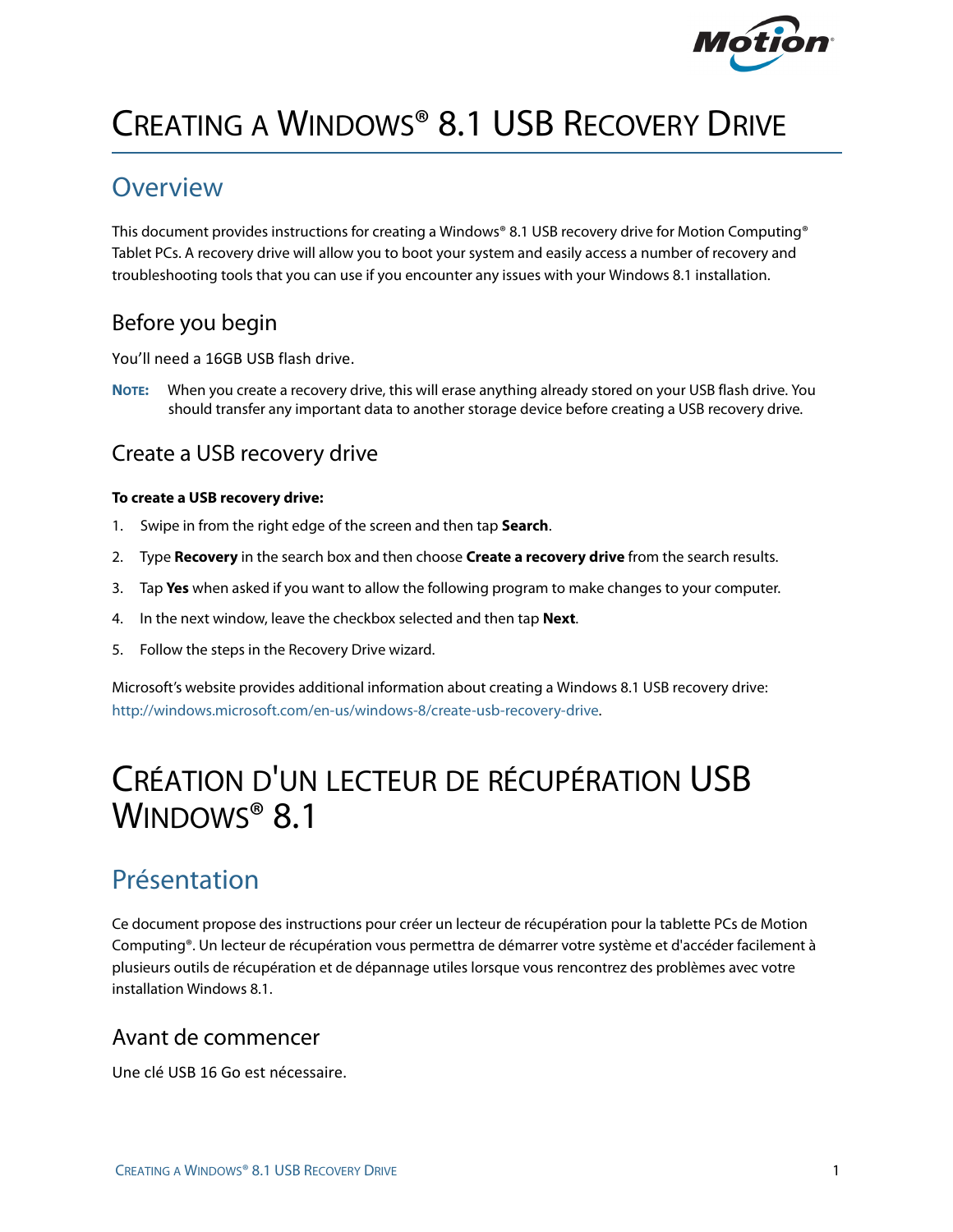

# CREATING A WINDOWS® 8.1 USB RECOVERY DRIVE

## **Overview**

This document provides instructions for creating a Windows® 8.1 USB recovery drive for Motion Computing® Tablet PCs. A recovery drive will allow you to boot your system and easily access a number of recovery and troubleshooting tools that you can use if you encounter any issues with your Windows 8.1 installation.

## Before you begin

You'll need a 16GB USB flash drive.

**NOTE:** When you create a recovery drive, this will erase anything already stored on your USB flash drive. You should transfer any important data to another storage device before creating a USB recovery drive.

## Create a USB recovery drive

#### **To create a USB recovery drive:**

- 1. Swipe in from the right edge of the screen and then tap **Search**.
- 2. Type **Recovery** in the search box and then choose **Create a recovery drive** from the search results.
- 3. Tap **Yes** when asked if you want to allow the following program to make changes to your computer.
- 4. In the next window, leave the checkbox selected and then tap **Next**.
- 5. Follow the steps in the Recovery Drive wizard.

Microsoft's website provides additional information about creating a Windows 8.1 USB recovery drive: [http://windows.microsoft.com/en-us/windows-8/create-usb-recovery-drive.](http://windows.microsoft.com/en-us/windows-8/create-usb-recovery-drive)

# CRÉATION D'UN LECTEUR DE RÉCUPÉRATION USB WINDOWS® 8.1

# Présentation

Ce document propose des instructions pour créer un lecteur de récupération pour la tablette PCs de Motion Computing®. Un lecteur de récupération vous permettra de démarrer votre système et d'accéder facilement à plusieurs outils de récupération et de dépannage utiles lorsque vous rencontrez des problèmes avec votre installation Windows 8.1.

#### Avant de commencer

Une clé USB 16 Go est nécessaire.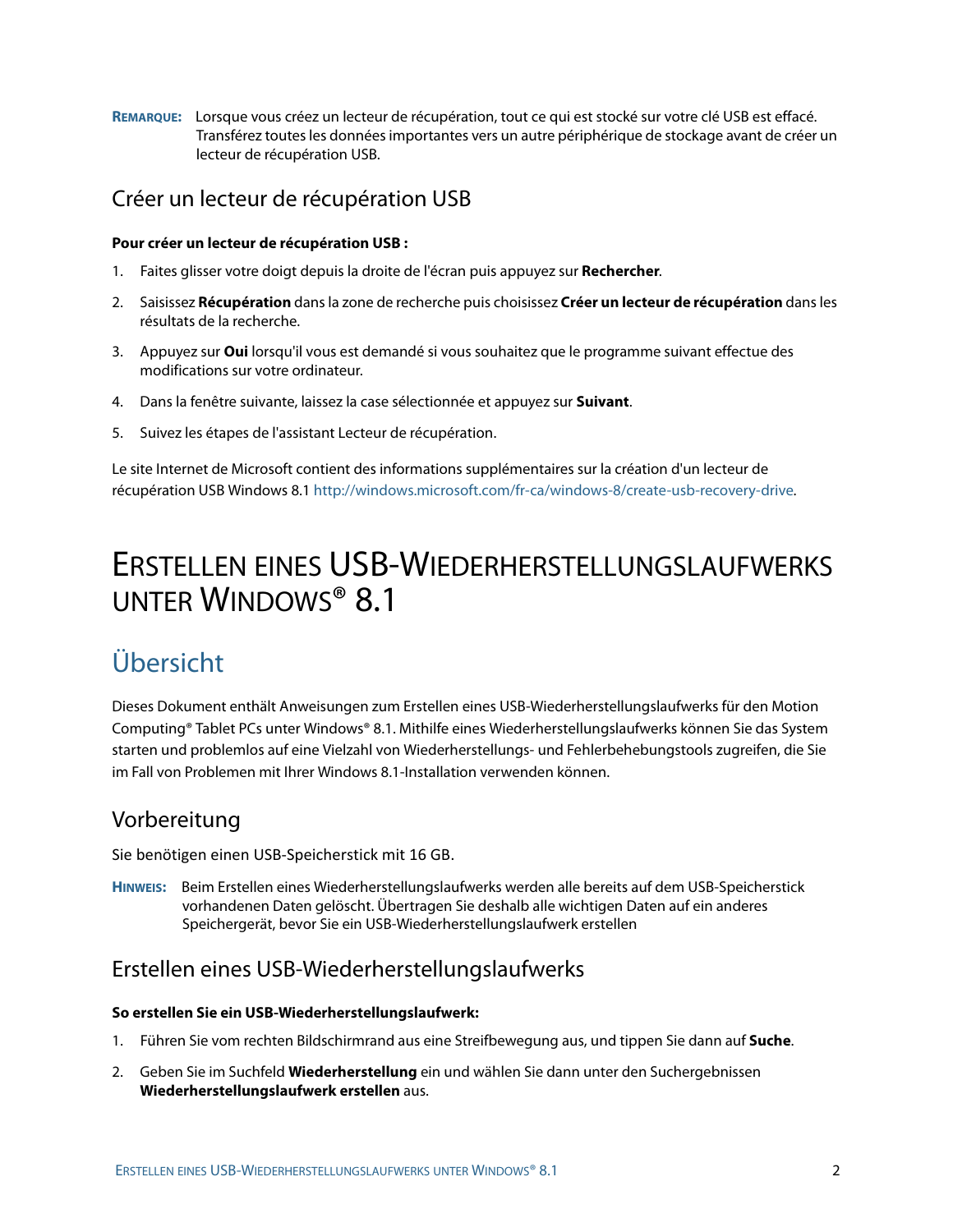**REMARQUE:** Lorsque vous créez un lecteur de récupération, tout ce qui est stocké sur votre clé USB est effacé. Transférez toutes les données importantes vers un autre périphérique de stockage avant de créer un lecteur de récupération USB.

#### Créer un lecteur de récupération USB

#### **Pour créer un lecteur de récupération USB :**

- 1. Faites glisser votre doigt depuis la droite de l'écran puis appuyez sur **Rechercher**.
- 2. Saisissez **Récupération** dans la zone de recherche puis choisissez **Créer un lecteur de récupération** dans les résultats de la recherche.
- 3. Appuyez sur **Oui** lorsqu'il vous est demandé si vous souhaitez que le programme suivant effectue des modifications sur votre ordinateur.
- 4. Dans la fenêtre suivante, laissez la case sélectionnée et appuyez sur **Suivant**.
- 5. Suivez les étapes de l'assistant Lecteur de récupération.

Le site Internet de Microsoft contient des informations supplémentaires sur la création d'un lecteur de récupération USB Windows 8.1 [http://windows.microsoft.com/fr-ca/windows-8/create-usb-recovery-drive.](http://windows.microsoft.com/fr-ca/windows-8/create-usb-recovery-drive)

# ERSTELLEN EINES USB-WIEDERHERSTELLUNGSLAUFWERKS UNTER WINDOWS® 8.1

# Übersicht

Dieses Dokument enthält Anweisungen zum Erstellen eines USB-Wiederherstellungslaufwerks für den Motion Computing® Tablet PCs unter Windows® 8.1. Mithilfe eines Wiederherstellungslaufwerks können Sie das System starten und problemlos auf eine Vielzahl von Wiederherstellungs- und Fehlerbehebungstools zugreifen, die Sie im Fall von Problemen mit Ihrer Windows 8.1-Installation verwenden können.

#### Vorbereitung

Sie benötigen einen USB‐Speicherstick mit 16 GB.

**HINWEIS:** Beim Erstellen eines Wiederherstellungslaufwerks werden alle bereits auf dem USB-Speicherstick vorhandenen Daten gelöscht. Übertragen Sie deshalb alle wichtigen Daten auf ein anderes Speichergerät, bevor Sie ein USB-Wiederherstellungslaufwerk erstellen

#### Erstellen eines USB-Wiederherstellungslaufwerks

#### **So erstellen Sie ein USB-Wiederherstellungslaufwerk:**

- 1. Führen Sie vom rechten Bildschirmrand aus eine Streifbewegung aus, und tippen Sie dann auf **Suche**.
- 2. Geben Sie im Suchfeld **Wiederherstellung** ein und wählen Sie dann unter den Suchergebnissen **Wiederherstellungslaufwerk erstellen** aus.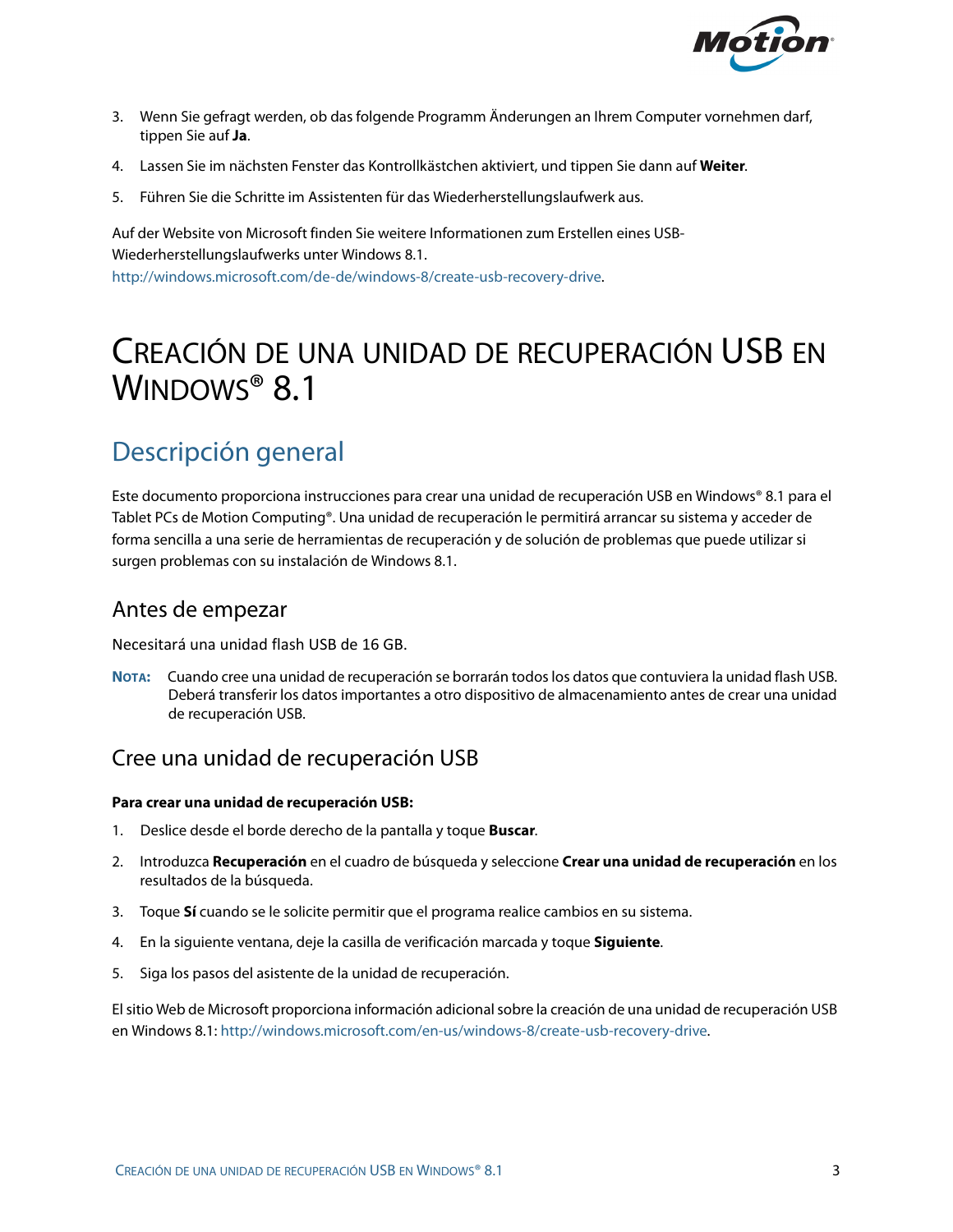

- 3. Wenn Sie gefragt werden, ob das folgende Programm Änderungen an Ihrem Computer vornehmen darf, tippen Sie auf **Ja**.
- 4. Lassen Sie im nächsten Fenster das Kontrollkästchen aktiviert, und tippen Sie dann auf **Weiter**.
- 5. Führen Sie die Schritte im Assistenten für das Wiederherstellungslaufwerk aus.

Auf der Website von Microsoft finden Sie weitere Informationen zum Erstellen eines USB-Wiederherstellungslaufwerks unter Windows 8.1. [http://windows.microsoft.com/de-de/windows-8/create-usb-recovery-drive.](http://windows.microsoft.com/de-de/windows-8/create-usb-recovery-drive)

# CREACIÓN DE UNA UNIDAD DE RECUPERACIÓN USB EN WINDOWS<sup>®</sup> 8.1

# Descripción general

Este documento proporciona instrucciones para crear una unidad de recuperación USB en Windows® 8.1 para el Tablet PCs de Motion Computing®. Una unidad de recuperación le permitirá arrancar su sistema y acceder de forma sencilla a una serie de herramientas de recuperación y de solución de problemas que puede utilizar si surgen problemas con su instalación de Windows 8.1.

#### Antes de empezar

Necesitará una unidad flash USB de 16 GB.

**NOTA:** Cuando cree una unidad de recuperación se borrarán todos los datos que contuviera la unidad flash USB. Deberá transferir los datos importantes a otro dispositivo de almacenamiento antes de crear una unidad de recuperación USB.

### Cree una unidad de recuperación USB

#### **Para crear una unidad de recuperación USB:**

- 1. Deslice desde el borde derecho de la pantalla y toque **Buscar**.
- 2. Introduzca **Recuperación** en el cuadro de búsqueda y seleccione **Crear una unidad de recuperación** en los resultados de la búsqueda.
- 3. Toque **Sí** cuando se le solicite permitir que el programa realice cambios en su sistema.
- 4. En la siguiente ventana, deje la casilla de verificación marcada y toque **Siguiente**.
- 5. Siga los pasos del asistente de la unidad de recuperación.

El sitio Web de Microsoft proporciona información adicional sobre la creación de una unidad de recuperación USB en Windows 8.1: [http://windows.microsoft.com/en-us/windows-8/create-usb-recovery-drive.](http://windows.microsoft.com/en-us/windows-8/create-usb-recovery-drive)